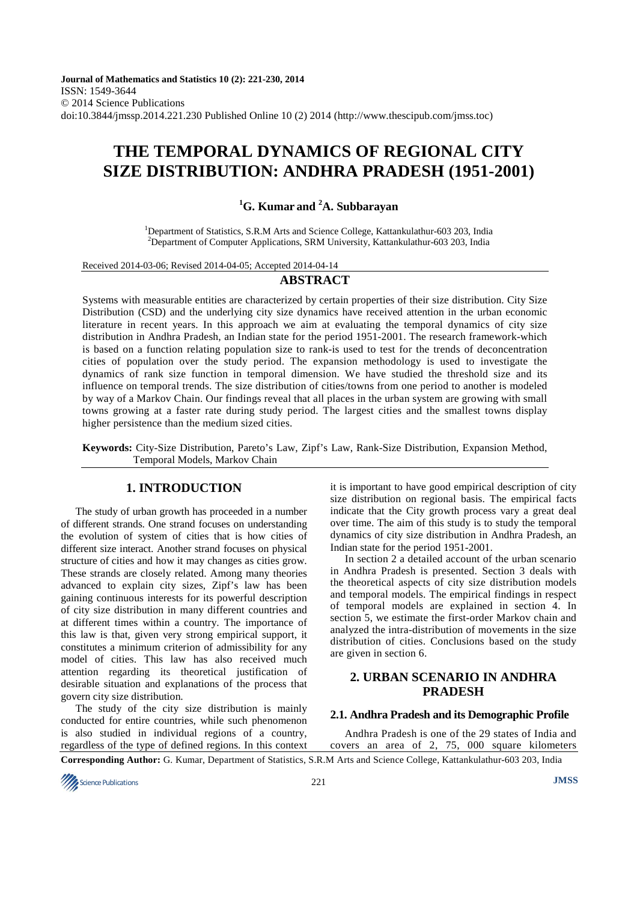**Journal of Mathematics and Statistics 10 (2): 221-230, 2014**  ISSN: 1549-3644 © 2014 Science Publications doi:10.3844/jmssp.2014.221.230 Published Online 10 (2) 2014 (http://www.thescipub.com/jmss.toc)

# **THE TEMPORAL DYNAMICS OF REGIONAL CITY SIZE DISTRIBUTION: ANDHRA PRADESH (1951-2001)**

# **<sup>1</sup>G. Kumar and <sup>2</sup>A. Subbarayan**

<sup>1</sup>Department of Statistics, S.R.M Arts and Science College, Kattankulathur-603 203, India <sup>2</sup>Department of Computer Applications, SRM University, Kattankulathur-603 203, India

Received 2014-03-06; Revised 2014-04-05; Accepted 2014-04-14

# **ABSTRACT**

Systems with measurable entities are characterized by certain properties of their size distribution. City Size Distribution (CSD) and the underlying city size dynamics have received attention in the urban economic literature in recent years. In this approach we aim at evaluating the temporal dynamics of city size distribution in Andhra Pradesh, an Indian state for the period 1951-2001. The research framework-which is based on a function relating population size to rank-is used to test for the trends of deconcentration cities of population over the study period. The expansion methodology is used to investigate the dynamics of rank size function in temporal dimension. We have studied the threshold size and its influence on temporal trends. The size distribution of cities/towns from one period to another is modeled by way of a Markov Chain. Our findings reveal that all places in the urban system are growing with small towns growing at a faster rate during study period. The largest cities and the smallest towns display higher persistence than the medium sized cities.

**Keywords:** City-Size Distribution, Pareto's Law, Zipf's Law, Rank-Size Distribution, Expansion Method, Temporal Models, Markov Chain

# **1. INTRODUCTION**

The study of urban growth has proceeded in a number of different strands. One strand focuses on understanding the evolution of system of cities that is how cities of different size interact. Another strand focuses on physical structure of cities and how it may changes as cities grow. These strands are closely related. Among many theories advanced to explain city sizes, Zipf's law has been gaining continuous interests for its powerful description of city size distribution in many different countries and at different times within a country. The importance of this law is that, given very strong empirical support, it constitutes a minimum criterion of admissibility for any model of cities. This law has also received much attention regarding its theoretical justification of desirable situation and explanations of the process that govern city size distribution.

The study of the city size distribution is mainly conducted for entire countries, while such phenomenon is also studied in individual regions of a country, regardless of the type of defined regions. In this context

it is important to have good empirical description of city size distribution on regional basis. The empirical facts indicate that the City growth process vary a great deal over time. The aim of this study is to study the temporal dynamics of city size distribution in Andhra Pradesh, an Indian state for the period 1951-2001.

In section 2 a detailed account of the urban scenario in Andhra Pradesh is presented. Section 3 deals with the theoretical aspects of city size distribution models and temporal models. The empirical findings in respect of temporal models are explained in section 4. In section 5, we estimate the first-order Markov chain and analyzed the intra-distribution of movements in the size distribution of cities. Conclusions based on the study are given in section 6.

# **2. URBAN SCENARIO IN ANDHRA PRADESH**

#### **2.1. Andhra Pradesh and its Demographic Profile**

Andhra Pradesh is one of the 29 states of India and covers an area of 2, 75, 000 square kilometers

**Corresponding Author:** G. Kumar, Department of Statistics, S.R.M Arts and Science College, Kattankulathur-603 203, India

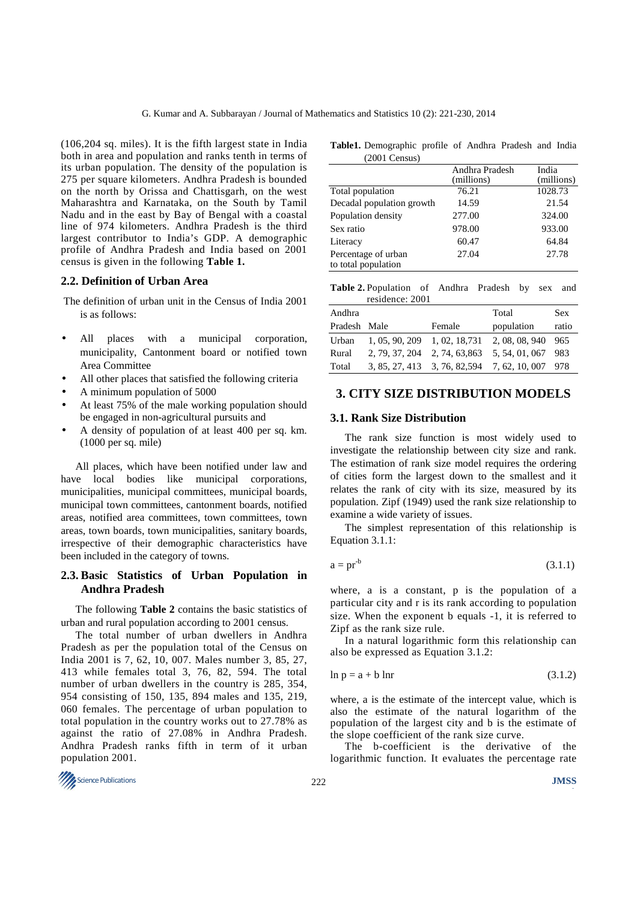(106,204 sq. miles). It is the fifth largest state in India both in area and population and ranks tenth in terms of its urban population. The density of the population is 275 per square kilometers. Andhra Pradesh is bounded on the north by Orissa and Chattisgarh, on the west Maharashtra and Karnataka, on the South by Tamil Nadu and in the east by Bay of Bengal with a coastal line of 974 kilometers. Andhra Pradesh is the third largest contributor to India's GDP. A demographic profile of Andhra Pradesh and India based on 2001 census is given in the following **Table 1.** 

#### **2.2. Definition of Urban Area**

 The definition of urban unit in the Census of India 2001 is as follows:

- All places with a municipal corporation, municipality, Cantonment board or notified town Area Committee
- All other places that satisfied the following criteria
- A minimum population of 5000
- At least 75% of the male working population should be engaged in non-agricultural pursuits and
- A density of population of at least 400 per sq. km. (1000 per sq. mile)

All places, which have been notified under law and have local bodies like municipal corporations, municipalities, municipal committees, municipal boards, municipal town committees, cantonment boards, notified areas, notified area committees, town committees, town areas, town boards, town municipalities, sanitary boards, irrespective of their demographic characteristics have been included in the category of towns.

#### **2.3. Basic Statistics of Urban Population in Andhra Pradesh**

The following **Table 2** contains the basic statistics of urban and rural population according to 2001 census.

The total number of urban dwellers in Andhra Pradesh as per the population total of the Census on India 2001 is 7, 62, 10, 007. Males number 3, 85, 27, 413 while females total 3, 76, 82, 594. The total number of urban dwellers in the country is 285, 354, 954 consisting of 150, 135, 894 males and 135, 219, 060 females. The percentage of urban population to total population in the country works out to 27.78% as against the ratio of 27.08% in Andhra Pradesh. Andhra Pradesh ranks fifth in term of it urban population 2001.



| Table 1. Demographic profile of Andhra Pradesh and India |  |  |  |
|----------------------------------------------------------|--|--|--|
| $(2001 \text{ Census})$                                  |  |  |  |

|                                            | Andhra Pradesh | India      |
|--------------------------------------------|----------------|------------|
|                                            | (millions)     | (millions) |
| Total population                           | 76.21          | 1028.73    |
| Decadal population growth                  | 14.59          | 21.54      |
| Population density                         | 277.00         | 324.00     |
| Sex ratio                                  | 978.00         | 933.00     |
| Literacy                                   | 60.47          | 64.84      |
| Percentage of urban<br>to total population | 27.04          | 27.78      |

| <b>Table 2.</b> Population of Andhra Pradesh by sex and |  |  |  |
|---------------------------------------------------------|--|--|--|
| residence: 2001                                         |  |  |  |

| Andhra       |                               | Total                                            | <b>Sex</b> |
|--------------|-------------------------------|--------------------------------------------------|------------|
| Pradesh Male | Female                        | population                                       | ratio      |
| Urban        | 1, 05, 90, 209 1, 02, 18, 731 | 2, 08, 08, 940 965                               |            |
| Rural        |                               | 2, 79, 37, 204 2, 74, 63, 863 5, 54, 01, 067 983 |            |
| Total        |                               | 3, 85, 27, 413 3, 76, 82, 594 7, 62, 10, 007 978 |            |

#### **3. CITY SIZE DISTRIBUTION MODELS**

## **3.1. Rank Size Distribution**

The rank size function is most widely used to investigate the relationship between city size and rank. The estimation of rank size model requires the ordering of cities form the largest down to the smallest and it relates the rank of city with its size, measured by its population. Zipf (1949) used the rank size relationship to examine a wide variety of issues.

The simplest representation of this relationship is Equation 3.1.1:

$$
a = pr^{-b} \tag{3.1.1}
$$

where, a is a constant, p is the population of a particular city and r is its rank according to population size. When the exponent b equals -1, it is referred to Zipf as the rank size rule.

In a natural logarithmic form this relationship can also be expressed as Equation 3.1.2:

$$
\ln p = a + b \ln r \tag{3.1.2}
$$

where, a is the estimate of the intercept value, which is also the estimate of the natural logarithm of the population of the largest city and b is the estimate of the slope coefficient of the rank size curve.

The b-coefficient is the derivative of the logarithmic function. It evaluates the percentage rate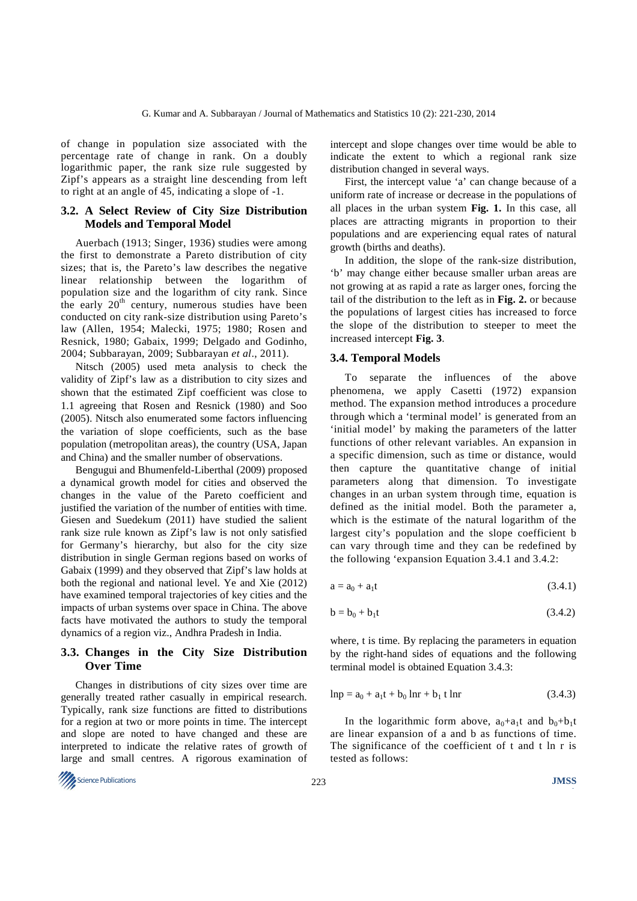of change in population size associated with the percentage rate of change in rank. On a doubly logarithmic paper, the rank size rule suggested by Zipf's appears as a straight line descending from left to right at an angle of 45, indicating a slope of -1.

## **3.2. A Select Review of City Size Distribution Models and Temporal Model**

Auerbach (1913; Singer, 1936) studies were among the first to demonstrate a Pareto distribution of city sizes; that is, the Pareto's law describes the negative linear relationship between the logarithm of population size and the logarithm of city rank. Since the early 20<sup>th</sup> century, numerous studies have been conducted on city rank-size distribution using Pareto's law (Allen, 1954; Malecki, 1975; 1980; Rosen and Resnick, 1980; Gabaix, 1999; Delgado and Godinho, 2004; Subbarayan, 2009; Subbarayan *et al*., 2011).

Nitsch (2005) used meta analysis to check the validity of Zipf's law as a distribution to city sizes and shown that the estimated Zipf coefficient was close to 1.1 agreeing that Rosen and Resnick (1980) and Soo (2005). Nitsch also enumerated some factors influencing the variation of slope coefficients, such as the base population (metropolitan areas), the country (USA, Japan and China) and the smaller number of observations.

Bengugui and Bhumenfeld-Liberthal (2009) proposed a dynamical growth model for cities and observed the changes in the value of the Pareto coefficient and justified the variation of the number of entities with time. Giesen and Suedekum (2011) have studied the salient rank size rule known as Zipf's law is not only satisfied for Germany's hierarchy, but also for the city size distribution in single German regions based on works of Gabaix (1999) and they observed that Zipf's law holds at both the regional and national level. Ye and Xie (2012) have examined temporal trajectories of key cities and the impacts of urban systems over space in China. The above facts have motivated the authors to study the temporal dynamics of a region viz., Andhra Pradesh in India.

### **3.3. Changes in the City Size Distribution Over Time**

Changes in distributions of city sizes over time are generally treated rather casually in empirical research. Typically, rank size functions are fitted to distributions for a region at two or more points in time. The intercept and slope are noted to have changed and these are interpreted to indicate the relative rates of growth of large and small centres. A rigorous examination of intercept and slope changes over time would be able to indicate the extent to which a regional rank size distribution changed in several ways.

First, the intercept value 'a' can change because of a uniform rate of increase or decrease in the populations of all places in the urban system **Fig. 1.** In this case, all places are attracting migrants in proportion to their populations and are experiencing equal rates of natural growth (births and deaths).

In addition, the slope of the rank-size distribution, 'b' may change either because smaller urban areas are not growing at as rapid a rate as larger ones, forcing the tail of the distribution to the left as in **Fig. 2.** or because the populations of largest cities has increased to force the slope of the distribution to steeper to meet the increased intercept **Fig. 3**.

#### **3.4. Temporal Models**

To separate the influences of the above phenomena, we apply Casetti (1972) expansion method. The expansion method introduces a procedure through which a 'terminal model' is generated from an 'initial model' by making the parameters of the latter functions of other relevant variables. An expansion in a specific dimension, such as time or distance, would then capture the quantitative change of initial parameters along that dimension. To investigate changes in an urban system through time, equation is defined as the initial model. Both the parameter a, which is the estimate of the natural logarithm of the largest city's population and the slope coefficient b can vary through time and they can be redefined by the following 'expansion Equation 3.4.1 and 3.4.2:

$$
a = a_0 + a_1 t \tag{3.4.1}
$$

$$
b = b_0 + b_1 t \tag{3.4.2}
$$

where, t is time. By replacing the parameters in equation by the right-hand sides of equations and the following terminal model is obtained Equation 3.4.3:

$$
lnp = a_0 + a_1t + b_0 lnr + b_1 t lnr
$$
 (3.4.3)

In the logarithmic form above,  $a_0 + a_1t$  and  $b_0 + b_1t$ are linear expansion of a and b as functions of time. The significance of the coefficient of t and t ln r is tested as follows:

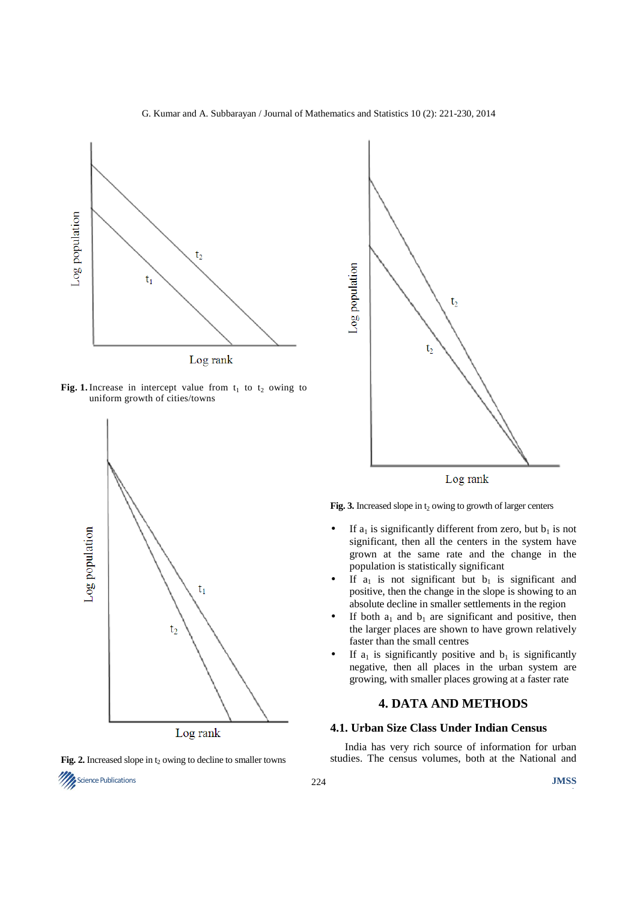

Fig. 1. Increase in intercept value from  $t_1$  to  $t_2$  owing to uniform growth of cities/towns







Fig. 3. Increased slope in  $t_2$  owing to growth of larger centers

- If  $a_1$  is significantly different from zero, but  $b_1$  is not significant, then all the centers in the system have grown at the same rate and the change in the population is statistically significant
- If  $a_1$  is not significant but  $b_1$  is significant and positive, then the change in the slope is showing to an absolute decline in smaller settlements in the region
- If both  $a_1$  and  $b_1$  are significant and positive, then the larger places are shown to have grown relatively faster than the small centres
- If  $a_1$  is significantly positive and  $b_1$  is significantly negative, then all places in the urban system are growing, with smaller places growing at a faster rate

## **4. DATA AND METHODS**

## **4.1. Urban Size Class Under Indian Census**

India has very rich source of information for urban studies. The census volumes, both at the National and

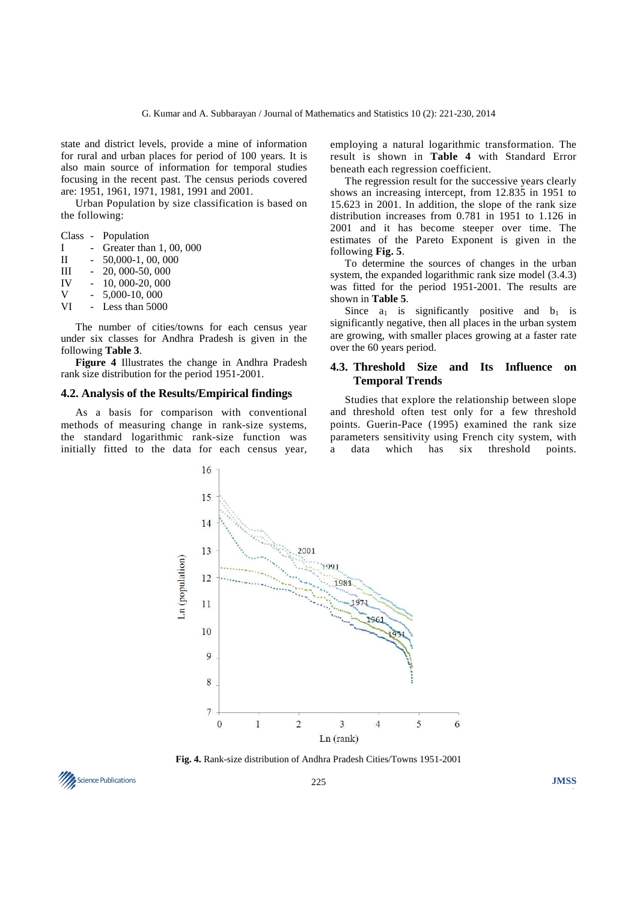state and district levels, provide a mine of information for rural and urban places for period of 100 years. It is also main source of information for temporal studies focusing in the recent past. The census periods covered are: 1951, 1961, 1971, 1981, 1991 and 2001.

Urban Population by size classification is based on the following:

|           | Class - Population      |
|-----------|-------------------------|
| I         | Greater than 1, 00, 000 |
| П         | 50,000-1, 00, 000       |
| Ш         | 20, 000-50, 000         |
| <b>IV</b> | 10, 000-20, 000         |
| V         | 5,000-10,000            |
| VI        | Less than 5000          |

The number of cities/towns for each census year under six classes for Andhra Pradesh is given in the following **Table 3**.

**Figure 4** Illustrates the change in Andhra Pradesh rank size distribution for the period 1951-2001.

#### **4.2. Analysis of the Results/Empirical findings**

As a basis for comparison with conventional methods of measuring change in rank-size systems, the standard logarithmic rank-size function was initially fitted to the data for each census year, employing a natural logarithmic transformation. The result is shown in **Table 4** with Standard Error beneath each regression coefficient.

The regression result for the successive years clearly shows an increasing intercept, from 12.835 in 1951 to 15.623 in 2001. In addition, the slope of the rank size distribution increases from 0.781 in 1951 to 1.126 in 2001 and it has become steeper over time. The estimates of the Pareto Exponent is given in the following **Fig. 5**.

To determine the sources of changes in the urban system, the expanded logarithmic rank size model (3.4.3) was fitted for the period 1951-2001. The results are shown in **Table 5**.

Since  $a_1$  is significantly positive and  $b_1$  is significantly negative, then all places in the urban system are growing, with smaller places growing at a faster rate over the 60 years period.

## **4.3. Threshold Size and Its Influence on Temporal Trends**

Studies that explore the relationship between slope and threshold often test only for a few threshold points. Guerin-Pace (1995) examined the rank size parameters sensitivity using French city system, with a data which has six threshold points.



**Fig. 4.** Rank-size distribution of Andhra Pradesh Cities/Towns 1951-2001

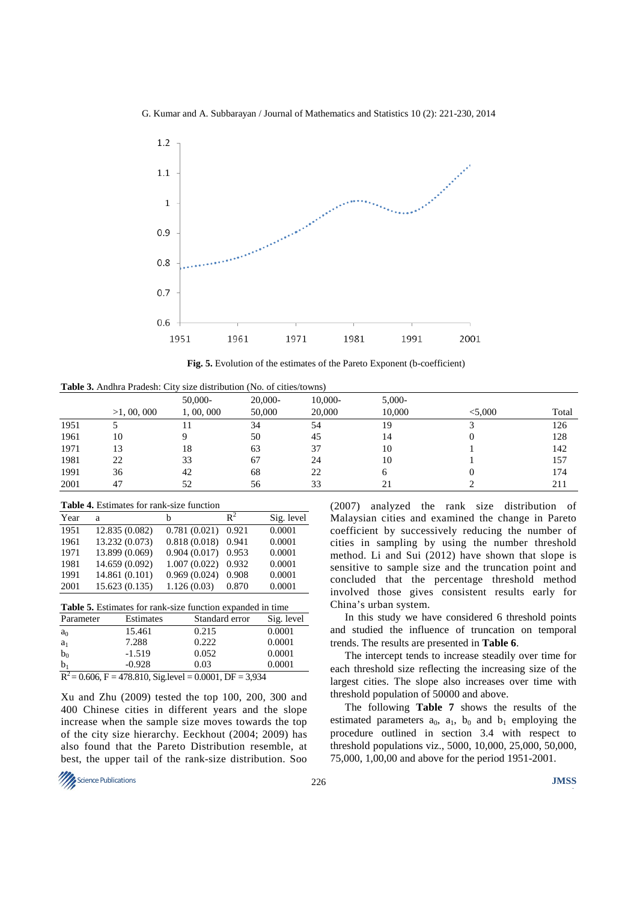

**Fig. 5.** Evolution of the estimates of the Pareto Exponent (b-coefficient)

**Table 3.** Andhra Pradesh: City size distribution (No. of cities/towns)

|      | >1,00,000 | 50,000-<br>1,00,000 | 20,000-<br>50,000 | 10,000-<br>20,000 | $5,000-$<br>10,000 | < 5,000 | Total |
|------|-----------|---------------------|-------------------|-------------------|--------------------|---------|-------|
| 1951 |           |                     | 34                | 54                | 19                 |         | 126   |
| 1961 | 10        |                     | 50                | 45                | 14                 |         | 128   |
| 1971 | 13        | 18                  | 63                | 37                | 10                 |         | 142   |
| 1981 | 22        | 33                  | 67                | 24                | 10                 |         | 157   |
| 1991 | 36        | 42                  | 68                | 22                | <sub>(</sub>       |         | 174   |
| 2001 | 47        | 52                  | 56                | 33                |                    |         | 211   |

**Table 4.** Estimates for rank-size function

| Year | a              | h            | $\mathbb{R}^2$ | Sig. level |
|------|----------------|--------------|----------------|------------|
| 1951 | 12.835 (0.082) | 0.781(0.021) | 0.921          | 0.0001     |
| 1961 | 13.232 (0.073) | 0.818(0.018) | 0.941          | 0.0001     |
| 1971 | 13.899 (0.069) | 0.904(0.017) | 0.953          | 0.0001     |
| 1981 | 14.659 (0.092) | 1.007(0.022) | 0.932          | 0.0001     |
| 1991 | 14.861 (0.101) | 0.969(0.024) | 0.908          | 0.0001     |
| 2001 | 15.623 (0.135) | 1.126(0.03)  | 0.870          | 0.0001     |

|  |  |  |  | <b>Table 5.</b> Estimates for rank-size function expanded in time |  |
|--|--|--|--|-------------------------------------------------------------------|--|
|  |  |  |  |                                                                   |  |

| Parameter                                                   | Estimates | Standard error | Sig. level |  |  |  |
|-------------------------------------------------------------|-----------|----------------|------------|--|--|--|
| a <sub>0</sub>                                              | 15.461    | 0.215          | 0.0001     |  |  |  |
| $a_1$                                                       | 7.288     | 0.222          | 0.0001     |  |  |  |
| $b_0$                                                       | $-1.519$  | 0.052          | 0.0001     |  |  |  |
| b <sub>1</sub>                                              | $-0.928$  | 0.03           | 0.0001     |  |  |  |
| $R^2 = 0.606$ , F = 478.810, Sig.level = 0.0001, DF = 3,934 |           |                |            |  |  |  |

Xu and Zhu (2009) tested the top 100, 200, 300 and 400 Chinese cities in different years and the slope increase when the sample size moves towards the top of the city size hierarchy. Eeckhout (2004; 2009) has also found that the Pareto Distribution resemble, at best, the upper tail of the rank-size distribution. Soo

(2007) analyzed the rank size distribution of Malaysian cities and examined the change in Pareto coefficient by successively reducing the number of cities in sampling by using the number threshold method. Li and Sui (2012) have shown that slope is sensitive to sample size and the truncation point and concluded that the percentage threshold method involved those gives consistent results early for China's urban system.

In this study we have considered 6 threshold points and studied the influence of truncation on temporal trends. The results are presented in **Table 6**.

The intercept tends to increase steadily over time for each threshold size reflecting the increasing size of the largest cities. The slope also increases over time with threshold population of 50000 and above.

The following **Table 7** shows the results of the estimated parameters  $a_0$ ,  $a_1$ ,  $b_0$  and  $b_1$  employing the procedure outlined in section 3.4 with respect to threshold populations viz., 5000, 10,000, 25,000, 50,000, 75,000, 1,00,00 and above for the period 1951-2001.

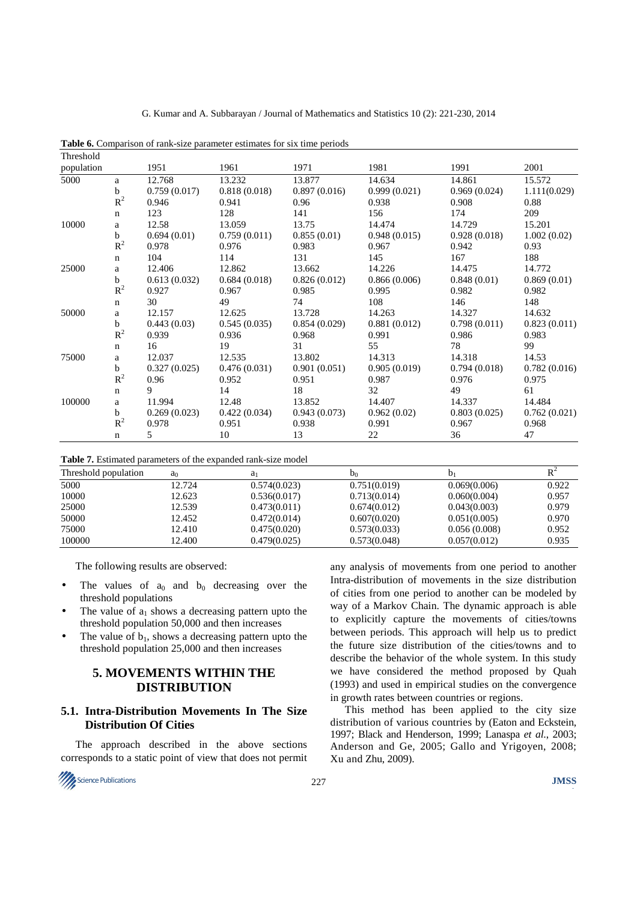| Threshold  |             |              |              |              |              |              |              |
|------------|-------------|--------------|--------------|--------------|--------------|--------------|--------------|
| population |             | 1951         | 1961         | 1971         | 1981         | 1991         | 2001         |
| 5000       | a           | 12.768       | 13.232       | 13.877       | 14.634       | 14.861       | 15.572       |
|            | b           | 0.759(0.017) | 0.818(0.018) | 0.897(0.016) | 0.999(0.021) | 0.969(0.024) | 1.111(0.029) |
|            | $R^2$       | 0.946        | 0.941        | 0.96         | 0.938        | 0.908        | 0.88         |
|            | $\mathbf n$ | 123          | 128          | 141          | 156          | 174          | 209          |
| 10000      | a           | 12.58        | 13.059       | 13.75        | 14.474       | 14.729       | 15.201       |
|            | b           | 0.694(0.01)  | 0.759(0.011) | 0.855(0.01)  | 0.948(0.015) | 0.928(0.018) | 1.002(0.02)  |
|            | $R^2$       | 0.978        | 0.976        | 0.983        | 0.967        | 0.942        | 0.93         |
|            | $\mathbf n$ | 104          | 114          | 131          | 145          | 167          | 188          |
| 25000      | a           | 12.406       | 12.862       | 13.662       | 14.226       | 14.475       | 14.772       |
|            | $\mathbf b$ | 0.613(0.032) | 0.684(0.018) | 0.826(0.012) | 0.866(0.006) | 0.848(0.01)  | 0.869(0.01)  |
|            | $R^2$       | 0.927        | 0.967        | 0.985        | 0.995        | 0.982        | 0.982        |
|            | $\mathbf n$ | 30           | 49           | 74           | 108          | 146          | 148          |
| 50000      | a           | 12.157       | 12.625       | 13.728       | 14.263       | 14.327       | 14.632       |
|            | b           | 0.443(0.03)  | 0.545(0.035) | 0.854(0.029) | 0.881(0.012) | 0.798(0.011) | 0.823(0.011) |
|            | $R^2$       | 0.939        | 0.936        | 0.968        | 0.991        | 0.986        | 0.983        |
|            | $\mathbf n$ | 16           | 19           | 31           | 55           | 78           | 99           |
| 75000      | a           | 12.037       | 12.535       | 13.802       | 14.313       | 14.318       | 14.53        |
|            | b           | 0.327(0.025) | 0.476(0.031) | 0.901(0.051) | 0.905(0.019) | 0.794(0.018) | 0.782(0.016) |
|            | $R^2$       | 0.96         | 0.952        | 0.951        | 0.987        | 0.976        | 0.975        |
|            | $\mathbf n$ | 9            | 14           | 18           | 32           | 49           | 61           |
| 100000     | a           | 11.994       | 12.48        | 13.852       | 14.407       | 14.337       | 14.484       |
|            | b           | 0.269(0.023) | 0.422(0.034) | 0.943(0.073) | 0.962(0.02)  | 0.803(0.025) | 0.762(0.021) |
|            | $R^2$       | 0.978        | 0.951        | 0.938        | 0.991        | 0.967        | 0.968        |
|            | $\mathbf n$ | 5            | 10           | 13           | 22           | 36           | 47           |

**Table 6.** Comparison of rank-size parameter estimates for six time periods

**Table 7.** Estimated parameters of the expanded rank-size model

| Threshold population | a <sub>0</sub> | $a_1$        | D <sub>0</sub> |              |       |
|----------------------|----------------|--------------|----------------|--------------|-------|
| 5000                 | 12.724         | 0.574(0.023) | 0.751(0.019)   | 0.069(0.006) | 0.922 |
| 10000                | 12.623         | 0.536(0.017) | 0.713(0.014)   | 0.060(0.004) | 0.957 |
| 25000                | 12.539         | 0.473(0.011) | 0.674(0.012)   | 0.043(0.003) | 0.979 |
| 50000                | 12.452         | 0.472(0.014) | 0.607(0.020)   | 0.051(0.005) | 0.970 |
| 75000                | 12.410         | 0.475(0.020) | 0.573(0.033)   | 0.056(0.008) | 0.952 |
| 100000               | 12.400         | 0.479(0.025) | 0.573(0.048)   | 0.057(0.012) | 0.935 |

The following results are observed:

- The values of  $a_0$  and  $b_0$  decreasing over the threshold populations
- The value of  $a_1$  shows a decreasing pattern upto the threshold population 50,000 and then increases
- The value of  $b_1$ , shows a decreasing pattern upto the threshold population 25,000 and then increases

# **5. MOVEMENTS WITHIN THE DISTRIBUTION**

## **5.1. Intra-Distribution Movements In The Size Distribution Of Cities**

The approach described in the above sections corresponds to a static point of view that does not permit

Science Publications **JMSS** 

any analysis of movements from one period to another Intra-distribution of movements in the size distribution of cities from one period to another can be modeled by way of a Markov Chain. The dynamic approach is able to explicitly capture the movements of cities/towns between periods. This approach will help us to predict the future size distribution of the cities/towns and to describe the behavior of the whole system. In this study we have considered the method proposed by Quah (1993) and used in empirical studies on the convergence in growth rates between countries or regions.

This method has been applied to the city size distribution of various countries by (Eaton and Eckstein, 1997; Black and Henderson, 1999; Lanaspa *et al*., 2003; Anderson and Ge, 2005; Gallo and Yrigoyen, 2008; Xu and Zhu, 2009).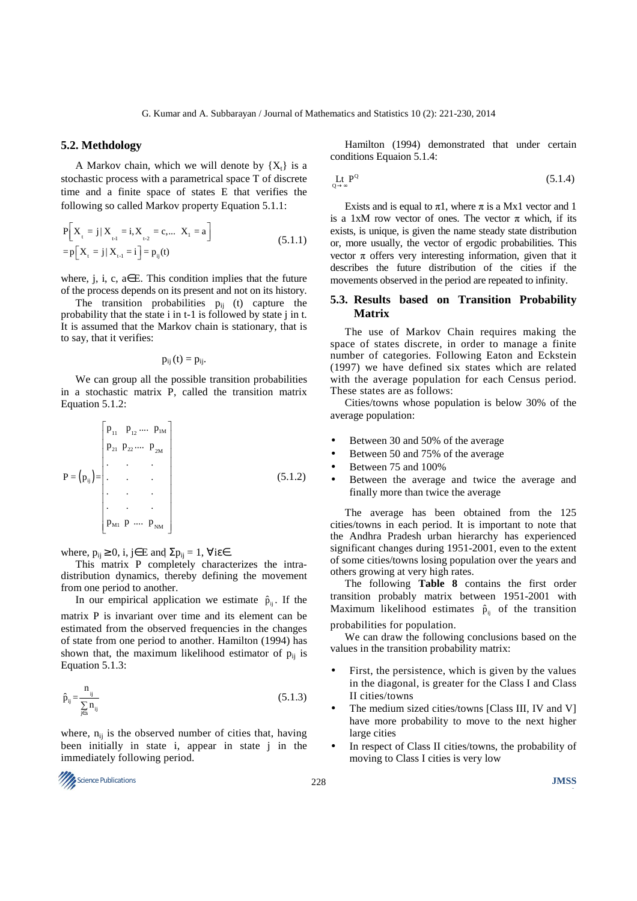#### **5.2. Methdology**

A Markov chain, which we will denote by  $\{X_t\}$  is a stochastic process with a parametrical space T of discrete time and a finite space of states E that verifies the following so called Markov property Equation 5.1.1:

$$
P[X_{t} = j | X_{t-1} = i, X_{t-2} = c,... X_{t} = a]
$$
  
= 
$$
P[X_{t} = j | X_{t-1} = i] = p_{ij}(t)
$$
 (5.1.1)

where, j, i, c,  $a \in E$ . This condition implies that the future of the process depends on its present and not on its history.

The transition probabilities  $p_{ij}$  (t) capture the probability that the state i in t-1 is followed by state j in t. It is assumed that the Markov chain is stationary, that is to say, that it verifies:

$$
p_{ij}(t)=p_{ij}.
$$

We can group all the possible transition probabilities in a stochastic matrix P, called the transition matrix Equation 5.1.2:

$$
P = (p_{ij}) = \begin{bmatrix} p_{11} & p_{12} & \cdots & p_{1M} \\ p_{21} & p_{22} & \cdots & p_{2M} \\ \vdots & \vdots & \ddots & \vdots \\ \vdots & \vdots & \ddots & \vdots \\ \vdots & \vdots & \ddots & \vdots \\ \vdots & \vdots & \ddots & \vdots \\ \vdots & \vdots & \ddots & \vdots \\ \vdots & \vdots & \ddots & \vdots \\ \vdots & \vdots & \ddots & \vdots \\ \vdots & \vdots & \ddots & \vdots \\ \vdots & \vdots & \ddots & \vdots \\ \vdots & \vdots & \ddots & \vdots \\ \vdots & \vdots & \ddots & \vdots \\ \vdots & \vdots & \ddots & \vdots \\ \vdots & \vdots & \ddots & \vdots \\ \vdots & \vdots & \ddots & \vdots \\ \vdots & \vdots & \ddots & \vdots \\ \vdots & \vdots & \ddots & \vdots \\ \vdots & \vdots & \ddots & \vdots \\ \vdots & \vdots & \ddots & \vdots \\ \vdots & \vdots & \ddots & \vdots \\ \vdots & \vdots & \ddots & \vdots \\ \vdots & \vdots & \ddots & \vdots \\ \vdots & \vdots & \ddots & \vdots \\ \vdots & \vdots & \ddots & \vdots \\ \vdots & \vdots & \ddots & \vdots \\ \vdots & \vdots & \ddots & \vdots \\ \vdots & \vdots & \ddots & \vdots \\ \vdots & \vdots & \ddots & \vdots \\ \vdots & \vdots & \ddots & \vdots \\ \vdots & \vdots & \ddots & \vdots \\ \vdots & \vdots & \ddots & \vdots \\ \vdots & \vdots & \ddots & \vdots \\ \vdots & \vdots & \ddots & \vdots \\ \vdots & \vdots & \ddots & \vdots \\ \vdots & \vdots & \ddots & \vdots \\ \vdots & \vdots & \ddots & \vdots \\ \vdots & \vdots & \ddots & \vdots \\ \vdots & \vdots & \ddots & \vdots \\ \vdots & \vdots & \ddots & \vdots \\ \vdots & \vdots & \ddots & \vdots \\ \vdots & \vdots & \ddots & \vdots \\ \vdots & \vdots & \vdots \\ \vdots & \vdots & \vdots \\ \vdots & \vdots & \vdots \\ \vdots & \vdots & \vdots \\ \vdots & \vdots & \vdots \\ \
$$

where,  $p_{ij} \ge 0$ , i, j∈ E and  $\Sigma p_{ij} = 1$ ,  $\forall i \varepsilon \in$ .

This matrix P completely characterizes the intradistribution dynamics, thereby defining the movement from one period to another.

In our empirical application we estimate  $\hat{p}_{ii}$ . If the

matrix P is invariant over time and its element can be estimated from the observed frequencies in the changes of state from one period to another. Hamilton (1994) has shown that, the maximum likelihood estimator of  $p_{ii}$  is Equation 5.1.3:

$$
\hat{p}_{ij} = \frac{n_{ij}}{\sum_{j \in s} n_{ij}} \tag{5.1.3}
$$

where,  $n_{ij}$  is the observed number of cities that, having been initially in state i, appear in state j in the immediately following period.



Hamilton (1994) demonstrated that under certain conditions Equaion 5.1.4:

$$
\mathop{\mathrm{Lt}}_{Q \to \infty} P^Q \tag{5.1.4}
$$

Exists and is equal to  $\pi$ 1, where  $\pi$  is a Mx1 vector and 1 is a 1xM row vector of ones. The vector  $\pi$  which, if its exists, is unique, is given the name steady state distribution or, more usually, the vector of ergodic probabilities. This vector π offers very interesting information, given that it describes the future distribution of the cities if the movements observed in the period are repeated to infinity.

## **5.3. Results based on Transition Probability Matrix**

The use of Markov Chain requires making the space of states discrete, in order to manage a finite number of categories. Following Eaton and Eckstein (1997) we have defined six states which are related with the average population for each Census period. These states are as follows:

Cities/towns whose population is below 30% of the average population:

- Between 30 and 50% of the average
- Between 50 and 75% of the average
- Between 75 and 100%
- Between the average and twice the average and finally more than twice the average

The average has been obtained from the 125 cities/towns in each period. It is important to note that the Andhra Pradesh urban hierarchy has experienced significant changes during 1951-2001, even to the extent of some cities/towns losing population over the years and others growing at very high rates.

The following **Table 8** contains the first order transition probably matrix between 1951-2001 with Maximum likelihood estimates  $\hat{p}_{ii}$  of the transition probabilities for population.

We can draw the following conclusions based on the values in the transition probability matrix:

- First, the persistence, which is given by the values in the diagonal, is greater for the Class I and Class II cities/towns
- The medium sized cities/towns [Class III, IV and V] have more probability to move to the next higher large cities
- In respect of Class II cities/towns, the probability of moving to Class I cities is very low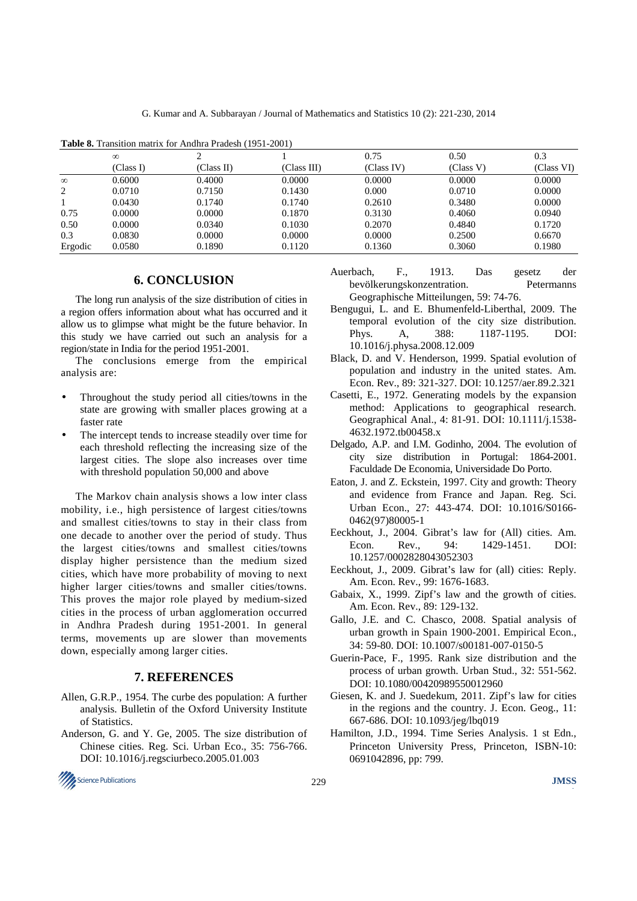|          | $\infty$  |            |             | 0.75       | 0.50      | 0.3        |
|----------|-----------|------------|-------------|------------|-----------|------------|
|          | (Class I) | (Class II) | (Class III) | (Class IV) | (Class V) | (Class VI) |
| $\infty$ | 0.6000    | 0.4000     | 0.0000      | 0.0000     | 0.0000    | 0.0000     |
| 2        | 0.0710    | 0.7150     | 0.1430      | 0.000      | 0.0710    | 0.0000     |
|          | 0.0430    | 0.1740     | 0.1740      | 0.2610     | 0.3480    | 0.0000     |
| 0.75     | 0.0000    | 0.0000     | 0.1870      | 0.3130     | 0.4060    | 0.0940     |
| 0.50     | 0.0000    | 0.0340     | 0.1030      | 0.2070     | 0.4840    | 0.1720     |
| 0.3      | 0.0830    | 0.0000     | 0.0000      | 0.0000     | 0.2500    | 0.6670     |
| Ergodic  | 0.0580    | 0.1890     | 0.1120      | 0.1360     | 0.3060    | 0.1980     |

**Table 8.** Transition matrix for Andhra Pradesh (1951-2001)

### **6. CONCLUSION**

The long run analysis of the size distribution of cities in a region offers information about what has occurred and it allow us to glimpse what might be the future behavior. In this study we have carried out such an analysis for a region/state in India for the period 1951-2001.

The conclusions emerge from the empirical analysis are:

- Throughout the study period all cities/towns in the state are growing with smaller places growing at a faster rate
- The intercept tends to increase steadily over time for each threshold reflecting the increasing size of the largest cities. The slope also increases over time with threshold population 50,000 and above

The Markov chain analysis shows a low inter class mobility, i.e., high persistence of largest cities/towns and smallest cities/towns to stay in their class from one decade to another over the period of study. Thus the largest cities/towns and smallest cities/towns display higher persistence than the medium sized cities, which have more probability of moving to next higher larger cities/towns and smaller cities/towns. This proves the major role played by medium-sized cities in the process of urban agglomeration occurred in Andhra Pradesh during 1951-2001. In general terms, movements up are slower than movements down, especially among larger cities.

## **7. REFERENCES**

- Allen, G.R.P., 1954. The curbe des population: A further analysis. Bulletin of the Oxford University Institute of Statistics.
- Anderson, G. and Y. Ge, 2005. The size distribution of Chinese cities. Reg. Sci. Urban Eco., 35: 756-766. DOI: 10.1016/j.regsciurbeco.2005.01.003



- Auerbach, F., 1913. Das gesetz der bevölkerungskonzentration. Petermanns Geographische Mitteilungen, 59: 74-76.
- Bengugui, L. and E. Bhumenfeld-Liberthal, 2009. The temporal evolution of the city size distribution. Phys. A, 388: 1187-1195. DOI: 10.1016/j.physa.2008.12.009
- Black, D. and V. Henderson, 1999. Spatial evolution of population and industry in the united states. Am. Econ. Rev., 89: 321-327. DOI: 10.1257/aer.89.2.321
- Casetti, E., 1972. Generating models by the expansion method: Applications to geographical research. Geographical Anal., 4: 81-91. DOI: 10.1111/j.1538- 4632.1972.tb00458.x
- Delgado, A.P. and I.M. Godinho, 2004. The evolution of city size distribution in Portugal: 1864-2001. Faculdade De Economia, Universidade Do Porto.
- Eaton, J. and Z. Eckstein, 1997. City and growth: Theory and evidence from France and Japan. Reg. Sci. Urban Econ., 27: 443-474. DOI: 10.1016/S0166- 0462(97)80005-1
- Eeckhout, J., 2004. Gibrat's law for (All) cities. Am. Econ. Rev., 94: 1429-1451. DOI: 10.1257/0002828043052303
- Eeckhout, J., 2009. Gibrat's law for (all) cities: Reply. Am. Econ. Rev., 99: 1676-1683.
- Gabaix, X., 1999. Zipf's law and the growth of cities. Am. Econ. Rev., 89: 129-132.
- Gallo, J.E. and C. Chasco, 2008. Spatial analysis of urban growth in Spain 1900-2001. Empirical Econ., 34: 59-80. DOI: 10.1007/s00181-007-0150-5
- Guerin-Pace, F., 1995. Rank size distribution and the process of urban growth. Urban Stud., 32: 551-562. DOI: 10.1080/00420989550012960
- Giesen, K. and J. Suedekum, 2011. Zipf's law for cities in the regions and the country. J. Econ. Geog., 11: 667-686. DOI: 10.1093/jeg/lbq019
- Hamilton, J.D., 1994. Time Series Analysis. 1 st Edn., Princeton University Press, Princeton, ISBN-10: 0691042896, pp: 799.